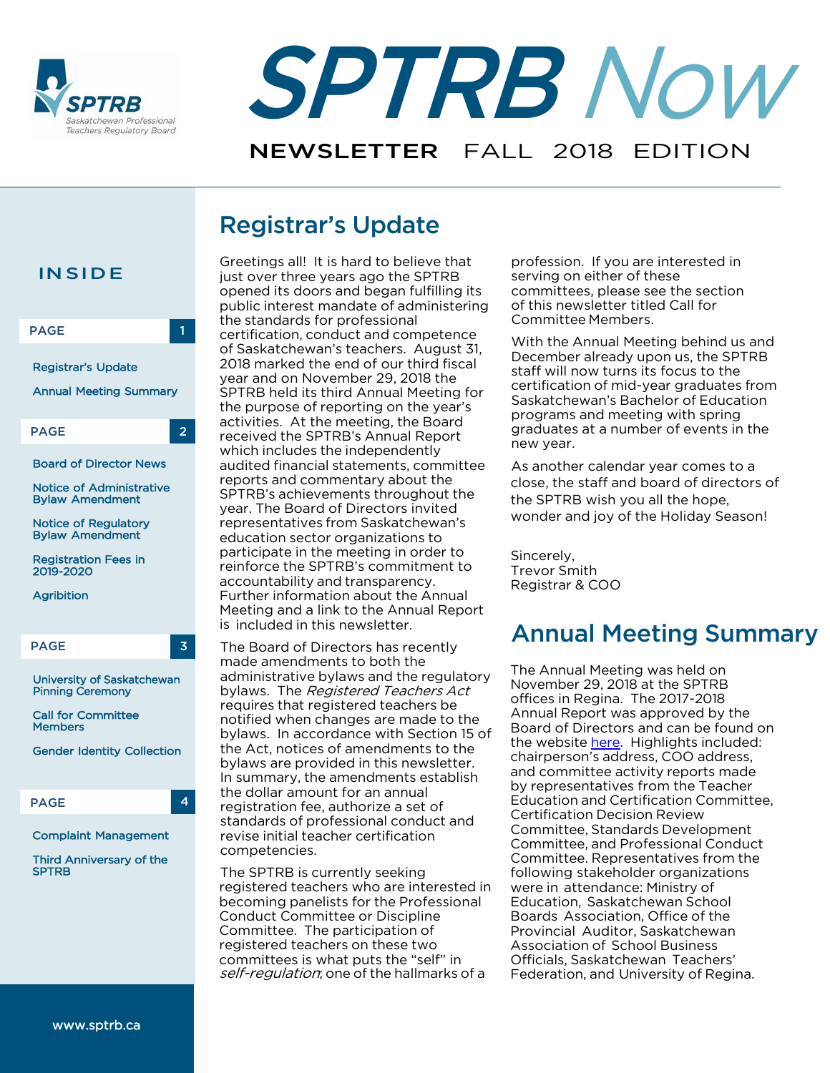



# Registrar's Update



Greetings all! It is hard to believe that just over three years ago the SPTRB opened its doors and began fulfilling its public interest mandate of administering the standards for professional certification, conduct and competence of Saskatchewan's teachers. August 31, 2018 marked the end of our third fiscal year and on November 29, 2018 the SPTRB held its third Annual Meeting for the purpose of reporting on the year's activities. At the meeting, the Board received the SPTRB's Annual Report which includes the independently audited financial statements, committee reports and commentary about the SPTRB's achievements throughout the year. The Board of Directors invited representatives from Saskatchewan's education sector organizations to participate in the meeting in order to reinforce the SPTRB's commitment to accountability and transparency. Further information about the Annual Meeting and a link to the Annual Report is included in this newsletter.

The Board of Directors has recently made amendments to both the administrative bylaws and the regulatory bylaws. The Registered Teachers Act requires that registered teachers be notified when changes are made to the bylaws. In accordance with Section 15 of the Act, notices of amendments to the bylaws are provided in this newsletter. In summary, the amendments establish the dollar amount for an annual registration fee, authorize a set of standards of professional conduct and revise initial teacher certification competencies.

The SPTRB is currently seeking registered teachers who are interested in becoming panelists for the Professional Conduct Committee or Discipline Committee. The participation of registered teachers on these two committees is what puts the "self" in self-regulation; one of the hallmarks of a

profession. If you are interested in serving on either of these committees, please see the section of this newsletter titled Call for Committee Members.

With the Annual Meeting behind us and December already upon us, the SPTRB staff will now turns its focus to the certification of mid-year graduates from Saskatchewan's Bachelor of Education programs and meeting with spring graduates at a number of events in the new year.

As another calendar year comes to a close, the staff and board of directors of the SPTRB wish you all the hope, wonder and joy of the Holiday Season!

Sincerely, Trevor Smith Registrar & COO

## Annual Meeting Summary

The Annual Meeting was held on November 29, 2018 at the SPTRB offices in Regina. The 2017-2018 Annual Report was approved by the Board of Directors and can be found on the website [here.](https://www.sptrb.ca/web/SPTRB/About_Us/Annual_Report/SPTRB/About_Us/Annual_Report.aspx?hkey=c333bf05-98e7-48a3-a653-29362b16d46e) Highlights included: chairperson's address, COO address, and committee activity reports made by representatives from the Teacher Education and Certification Committee, Certification Decision Review Committee, Standards Development Committee, and Professional Conduct Committee. Representatives from the following stakeholder organizations were in attendance: Ministry of Education, Saskatchewan School Boards Association, Office of the Provincial Auditor, Saskatchewan Association of School Business Officials, Saskatchewan Teachers' Federation, and University of Regina.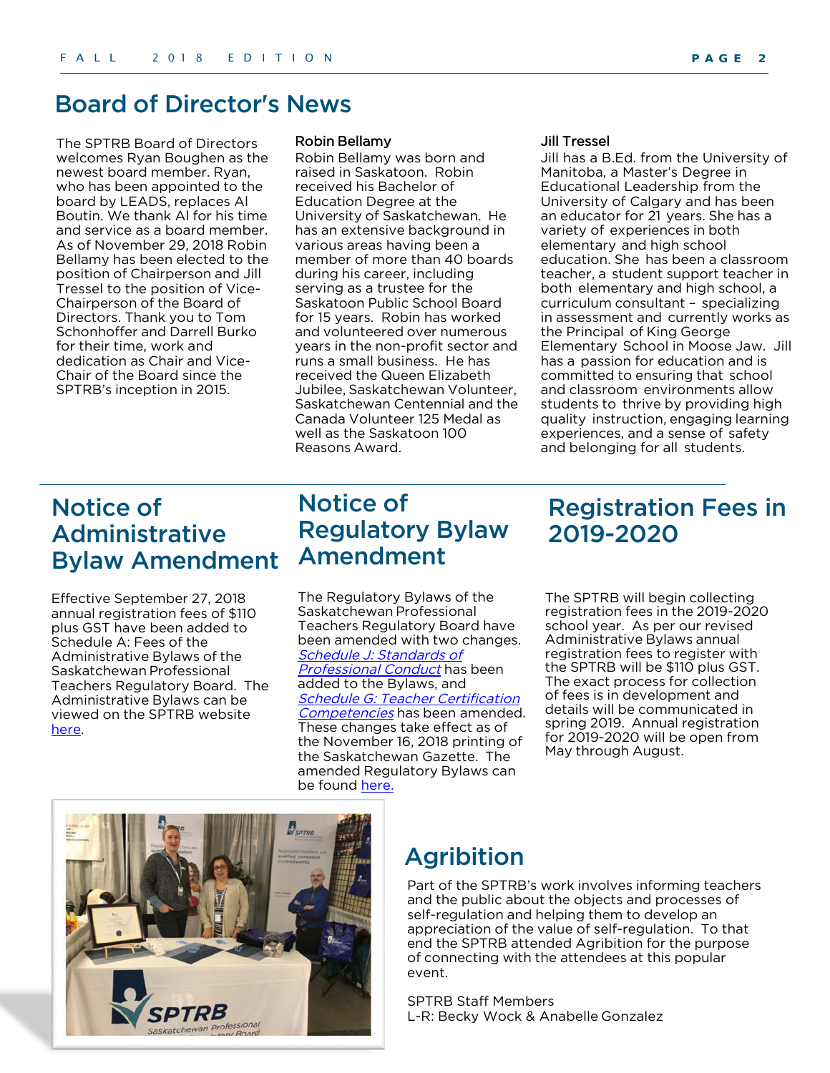#### Board of Director's News

The SPTRB Board of Directors welcomes Ryan Boughen as the newest board member. Ryan, who has been appointed to the board by LEADS, replaces Al Boutin. We thank Al for his time and service as a board member. As of November 29, 2018 Robin Bellamy has been elected to the position of Chairperson and Jill Tressel to the position of Vice-Chairperson of the Board of Directors. Thank you to Tom Schonhoffer and Darrell Burko for their time, work and dedication as Chair and Vice-Chair of the Board since the SPTRB's inception in 2015.

#### Robin Bellamy

Robin Bellamy was born and raised in Saskatoon. Robin received his Bachelor of Education Degree at the University of Saskatchewan. He has an extensive background in various areas having been a member of more than 40 boards during his career, including serving as a trustee for the Saskatoon Public School Board for 15 years. Robin has worked and volunteered over numerous years in the non-profit sector and runs a small business. He has received the Queen Elizabeth Jubilee, Saskatchewan Volunteer, Saskatchewan Centennial and the Canada Volunteer 125 Medal as well as the Saskatoon 100 Reasons Award.

#### Jill Tressel

Jill has a B.Ed. from the University of Manitoba, a Master's Degree in Educational Leadership from the University of Calgary and has been an educator for 21 years. She has a variety of experiences in both elementary and high school education. She has been a classroom teacher, a student support teacher in both elementary and high school, a curriculum consultant – specializing in assessment and currently works as the Principal of King George Elementary School in Moose Jaw. Jill has a passion for education and is committed to ensuring that school and classroom environments allow students to thrive by providing high quality instruction, engaging learning experiences, and a sense of safety and belonging for all students.

## Notice of Administrative Bylaw Amendment

Effective September 27, 2018 annual registration fees of \$110 plus GST have been added to Schedule A: Fees of the Administrative Bylaws of the Saskatchewan Professional Teachers Regulatory Board. The Administrative Bylaws can be viewed on the SPTRB website [here.](https://www.sptrb.ca/web/SPTRB/About_Us/Our_Legislation_and_Bylaws/SPTRB/About_Us/Our_Legislation_and_Bylaws.aspx?hkey=f9c73812-f36f-4369-8e78-dce4e8e6b0fb)

## Notice of Regulatory Bylaw Amendment

The Regulatory Bylaws of the Saskatchewan Professional Teachers Regulatory Board have been amended with two changes. Schedule J: Standards of [Professional](https://www.sptrb.ca/WEB/Documents/Single%20bylaw%20amendment%20Schedule%20J.pdf) Conduct has been added to the Bylaws, and Schedule G: Teacher Certification [Competencies](https://www.sptrb.ca/WEB/Documents/Single%20bylaw%20amendment%20Schedule%20G.pdf) has been amended. These changes take effect as of the November 16, 2018 printing of the Saskatchewan Gazette. The amended Regulatory Bylaws can be found [here.](https://www.sptrb.ca/web/SPTRB/About_Us/Our_Legislation_and_Bylaws/SPTRB/About_Us/Our_Legislation_and_Bylaws.aspx?hkey=f9c73812-f36f-4369-8e78-dce4e8e6b0fb)

## Registration Fees in 2019-2020

The SPTRB will begin collecting registration fees in the 2019-2020 school year. As per our revised Administrative Bylaws annual registration fees to register with the SPTRB will be \$110 plus GST. The exact process for collection of fees is in development and details will be communicated in spring 2019. Annual registration for 2019-2020 will be open from May through August.



#### Agribition

Part of the SPTRB's work involves informing teachers and the public about the objects and processes of self-regulation and helping them to develop an appreciation of the value of self-regulation. To that end the SPTRB attended Agribition for the purpose of connecting with the attendees at this popular event.

SPTRB Staff Members L-R: Becky Wock & Anabelle Gonzalez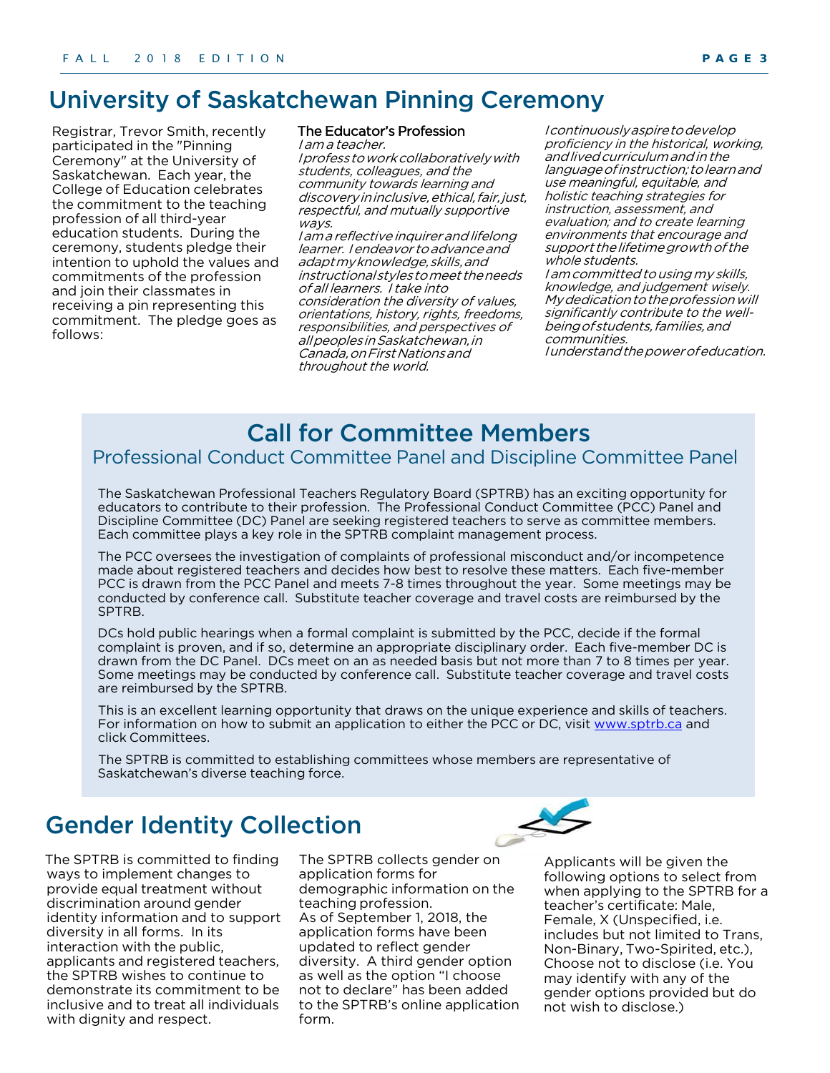## University of Saskatchewan Pinning Ceremony

Registrar, Trevor Smith, recently participated in the "Pinning Ceremony" at the University of Saskatchewan. Each year, the College of Education celebrates the commitment to the teaching profession of all third-year education students. During the ceremony, students pledge their intention to uphold the values and commitments of the profession and join their classmates in receiving a pin representing this commitment. The pledge goes as follows:

#### The Educator's Profession

I am a teacher. I professtoworkcollaborativelywith students, colleagues, and the community towards learning and discovery in inclusive, ethical, fair, just, respectful, and mutually supportive wavs.

I am a reflective inquirer and lifelong learner. I endeavor to advance and adaptmyknowledge,skills,and instructionalstylestomeet theneeds of all learners. I take into consideration the diversity of values, orientations, history, rights, freedoms, responsibilities, and perspectives of allpeoplesinSaskatchewan,in Canada,onFirstNationsand throughout the world.

I continuouslyaspiretodevelop proficiency in the historical, working, andlivedcurriculumandin the languageofinstruction; tolearnand use meaningful, equitable, and holistic teaching strategies for instruction, assessment, and evaluation; and to create learning environments that encourage and support the lifetime growth of the whole students.

I am committed to using my skills, knowledge, and judgement wisely. My dedication to the profession will significantly contribute to the wellbeing of students, families, and communities.

I understand the power of education.

### Call for Committee Members

#### Professional Conduct Committee Panel and Discipline Committee Panel

The Saskatchewan Professional Teachers Regulatory Board (SPTRB) has an exciting opportunity for educators to contribute to their profession. The Professional Conduct Committee (PCC) Panel and Discipline Committee (DC) Panel are seeking registered teachers to serve as committee members. Each committee plays a key role in the SPTRB complaint management process.

The PCC oversees the investigation of complaints of professional misconduct and/or incompetence made about registered teachers and decides how best to resolve these matters. Each five-member PCC is drawn from the PCC Panel and meets 7-8 times throughout the year. Some meetings may be conducted by conference call. Substitute teacher coverage and travel costs are reimbursed by the SPTRB.

DCs hold public hearings when a formal complaint is submitted by the PCC, decide if the formal complaint is proven, and if so, determine an appropriate disciplinary order. Each five-member DC is drawn from the DC Panel. DCs meet on an as needed basis but not more than 7 to 8 times per year. Some meetings may be conducted by conference call. Substitute teacher coverage and travel costs are reimbursed by the SPTRB.

This is an excellent learning opportunity that draws on the unique experience and skills of teachers. For information on how to submit an application to either the PCC or DC, visit [www.sptrb.ca](http://www.sptrb.ca/) and click Committees.

The SPTRB is committed to establishing committees whose members are representative of Saskatchewan's diverse teaching force.

## Gender Identity Collection

The SPTRB is committed to finding ways to implement changes to provide equal treatment without discrimination around gender identity information and to support diversity in all forms. In its interaction with the public, applicants and registered teachers, the SPTRB wishes to continue to demonstrate its commitment to be inclusive and to treat all individuals with dignity and respect.

The SPTRB collects gender on application forms for demographic information on the teaching profession. As of September 1, 2018, the application forms have been updated to reflect gender diversity. A third gender option as well as the option "I choose not to declare" has been added to the SPTRB's online application form.



Applicants will be given the following options to select from when applying to the SPTRB for a teacher's certificate: Male, Female, X (Unspecified, i.e. includes but not limited to Trans, Non-Binary, Two-Spirited, etc.), Choose not to disclose (i.e. You may identify with any of the gender options provided but do not wish to disclose.)